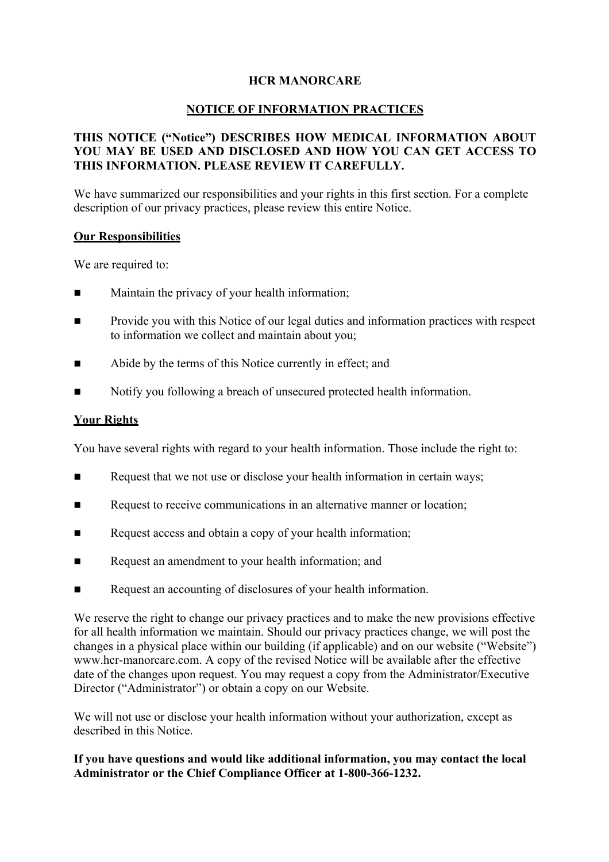### **HCR MANORCARE**

#### **NOTICE OF INFORMATION PRACTICES**

## **THIS NOTICE ("Notice") DESCRIBES HOW MEDICAL INFORMATION ABOUT YOU MAY BE USED AND DISCLOSED AND HOW YOU CAN GET ACCESS TO THIS INFORMATION. PLEASE REVIEW IT CAREFULLY.**

We have summarized our responsibilities and your rights in this first section. For a complete description of our privacy practices, please review this entire Notice.

#### **Our Responsibilities**

We are required to:

- Maintain the privacy of your health information;
- n Provide you with this Notice of our legal duties and information practices with respect to information we collect and maintain about you;
- Abide by the terms of this Notice currently in effect; and
- n Notify you following a breach of unsecured protected health information.

#### **Your Rights**

You have several rights with regard to your health information. Those include the right to:

- **n** Request that we not use or disclose your health information in certain ways;
- Request to receive communications in an alternative manner or location;
- **n** Request access and obtain a copy of your health information;
- **n** Request an amendment to your health information; and
- n Request an accounting of disclosures of your health information.

We reserve the right to change our privacy practices and to make the new provisions effective for all health information we maintain. Should our privacy practices change, we will post the changes in a physical place within our building (if applicable) and on our website ("Website") www.hcr-manorcare.com. A copy of the revised Notice will be available after the effective date of the changes upon request. You may request a copy from the Administrator/Executive Director ("Administrator") or obtain a copy on our Website.

We will not use or disclose your health information without your authorization, except as described in this Notice.

#### **If you have questions and would like additional information, you may contact the local Administrator or the Chief Compliance Officer at 1-800-366-1232.**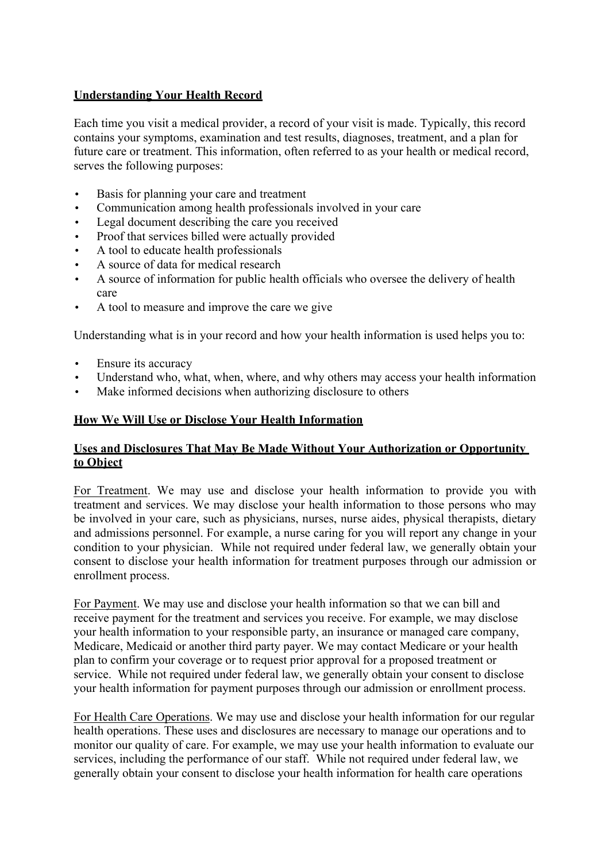### **Understanding Your Health Record**

Each time you visit a medical provider, a record of your visit is made. Typically, this record contains your symptoms, examination and test results, diagnoses, treatment, and a plan for future care or treatment. This information, often referred to as your health or medical record, serves the following purposes:

- Basis for planning your care and treatment
- Communication among health professionals involved in your care
- Legal document describing the care you received
- Proof that services billed were actually provided
- A tool to educate health professionals
- A source of data for medical research
- A source of information for public health officials who oversee the delivery of health care
- A tool to measure and improve the care we give

Understanding what is in your record and how your health information is used helps you to:

- Ensure its accuracy
- Understand who, what, when, where, and why others may access your health information
- Make informed decisions when authorizing disclosure to others

#### **How We Will Use or Disclose Your Health Information**

#### **Uses and Disclosures That May Be Made Without Your Authorization or Opportunity to Object**

For Treatment. We may use and disclose your health information to provide you with treatment and services. We may disclose your health information to those persons who may be involved in your care, such as physicians, nurses, nurse aides, physical therapists, dietary and admissions personnel. For example, a nurse caring for you will report any change in your condition to your physician. While not required under federal law, we generally obtain your consent to disclose your health information for treatment purposes through our admission or enrollment process.

For Payment. We may use and disclose your health information so that we can bill and receive payment for the treatment and services you receive. For example, we may disclose your health information to your responsible party, an insurance or managed care company, Medicare, Medicaid or another third party payer. We may contact Medicare or your health plan to confirm your coverage or to request prior approval for a proposed treatment or service. While not required under federal law, we generally obtain your consent to disclose your health information for payment purposes through our admission or enrollment process.

For Health Care Operations. We may use and disclose your health information for our regular health operations. These uses and disclosures are necessary to manage our operations and to monitor our quality of care. For example, we may use your health information to evaluate our services, including the performance of our staff. While not required under federal law, we generally obtain your consent to disclose your health information for health care operations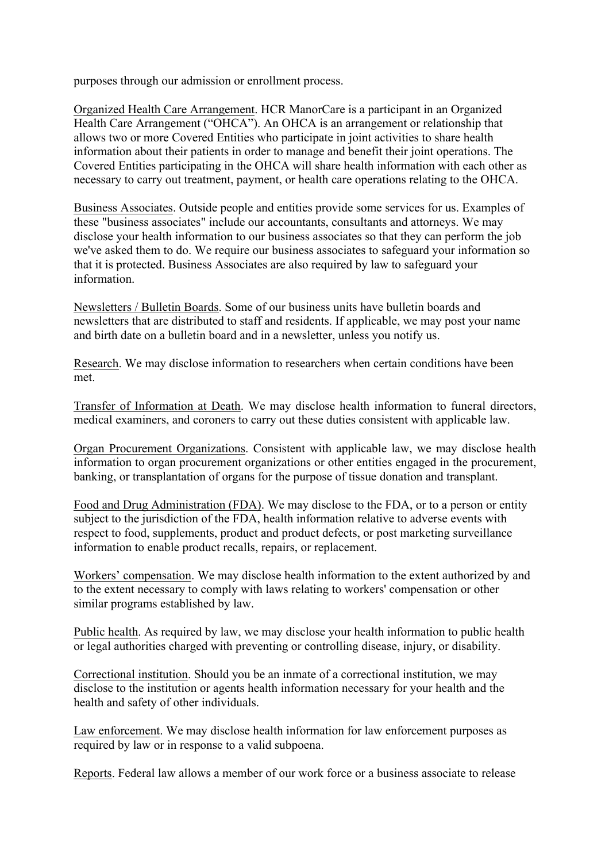purposes through our admission or enrollment process.

Organized Health Care Arrangement. HCR ManorCare is a participant in an Organized Health Care Arrangement ("OHCA"). An OHCA is an arrangement or relationship that allows two or more Covered Entities who participate in joint activities to share health information about their patients in order to manage and benefit their joint operations. The Covered Entities participating in the OHCA will share health information with each other as necessary to carry out treatment, payment, or health care operations relating to the OHCA.

Business Associates. Outside people and entities provide some services for us. Examples of these "business associates" include our accountants, consultants and attorneys. We may disclose your health information to our business associates so that they can perform the job we've asked them to do. We require our business associates to safeguard your information so that it is protected. Business Associates are also required by law to safeguard your information.

Newsletters / Bulletin Boards. Some of our business units have bulletin boards and newsletters that are distributed to staff and residents. If applicable, we may post your name and birth date on a bulletin board and in a newsletter, unless you notify us.

Research. We may disclose information to researchers when certain conditions have been met.

Transfer of Information at Death. We may disclose health information to funeral directors, medical examiners, and coroners to carry out these duties consistent with applicable law.

Organ Procurement Organizations. Consistent with applicable law, we may disclose health information to organ procurement organizations or other entities engaged in the procurement, banking, or transplantation of organs for the purpose of tissue donation and transplant.

Food and Drug Administration (FDA). We may disclose to the FDA, or to a person or entity subject to the jurisdiction of the FDA, health information relative to adverse events with respect to food, supplements, product and product defects, or post marketing surveillance information to enable product recalls, repairs, or replacement.

Workers' compensation. We may disclose health information to the extent authorized by and to the extent necessary to comply with laws relating to workers' compensation or other similar programs established by law.

Public health. As required by law, we may disclose your health information to public health or legal authorities charged with preventing or controlling disease, injury, or disability.

Correctional institution. Should you be an inmate of a correctional institution, we may disclose to the institution or agents health information necessary for your health and the health and safety of other individuals.

Law enforcement. We may disclose health information for law enforcement purposes as required by law or in response to a valid subpoena.

Reports. Federal law allows a member of our work force or a business associate to release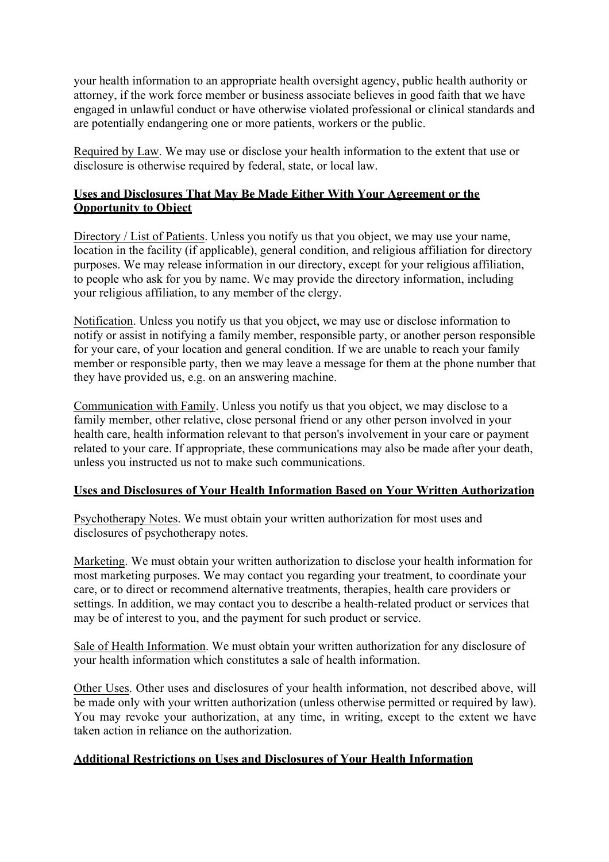your health information to an appropriate health oversight agency, public health authority or attorney, if the work force member or business associate believes in good faith that we have engaged in unlawful conduct or have otherwise violated professional or clinical standards and are potentially endangering one or more patients, workers or the public.

Required by Law. We may use or disclose your health information to the extent that use or disclosure is otherwise required by federal, state, or local law.

#### **Uses and Disclosures That May Be Made Either With Your Agreement or the Opportunity to Object**

Directory / List of Patients. Unless you notify us that you object, we may use your name, location in the facility (if applicable), general condition, and religious affiliation for directory purposes. We may release information in our directory, except for your religious affiliation, to people who ask for you by name. We may provide the directory information, including your religious affiliation, to any member of the clergy.

Notification. Unless you notify us that you object, we may use or disclose information to notify or assist in notifying a family member, responsible party, or another person responsible for your care, of your location and general condition. If we are unable to reach your family member or responsible party, then we may leave a message for them at the phone number that they have provided us, e.g. on an answering machine.

Communication with Family. Unless you notify us that you object, we may disclose to a family member, other relative, close personal friend or any other person involved in your health care, health information relevant to that person's involvement in your care or payment related to your care. If appropriate, these communications may also be made after your death, unless you instructed us not to make such communications.

#### **Uses and Disclosures of Your Health Information Based on Your Written Authorization**

Psychotherapy Notes. We must obtain your written authorization for most uses and disclosures of psychotherapy notes.

Marketing. We must obtain your written authorization to disclose your health information for most marketing purposes. We may contact you regarding your treatment, to coordinate your care, or to direct or recommend alternative treatments, therapies, health care providers or settings. In addition, we may contact you to describe a health-related product or services that may be of interest to you, and the payment for such product or service.

Sale of Health Information. We must obtain your written authorization for any disclosure of your health information which constitutes a sale of health information.

Other Uses. Other uses and disclosures of your health information, not described above, will be made only with your written authorization (unless otherwise permitted or required by law). You may revoke your authorization, at any time, in writing, except to the extent we have taken action in reliance on the authorization.

#### **Additional Restrictions on Uses and Disclosures of Your Health Information**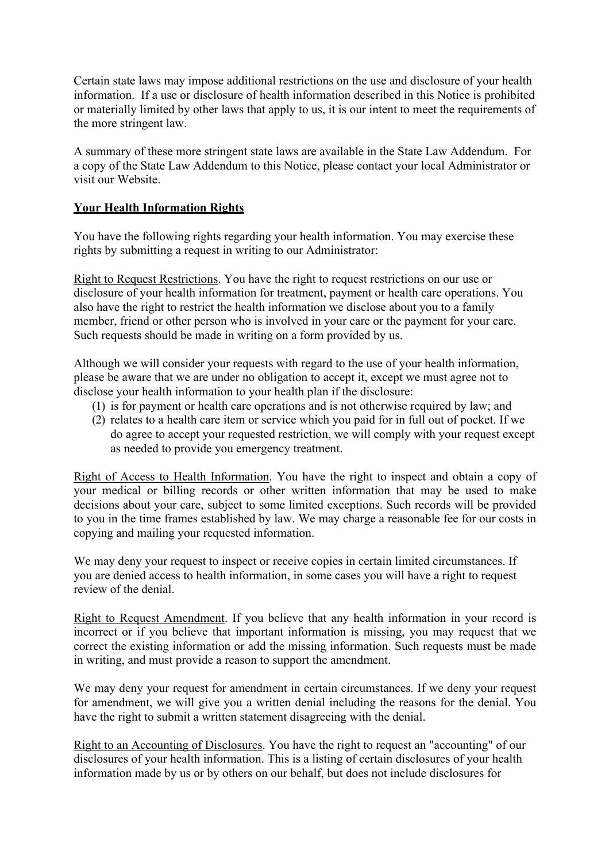Certain state laws may impose additional restrictions on the use and disclosure of your health information. If a use or disclosure of health information described in this Notice is prohibited or materially limited by other laws that apply to us, it is our intent to meet the requirements of the more stringent law.

A summary of these more stringent state laws are available in the State Law Addendum. For a copy of the State Law Addendum to this Notice, please contact your local Administrator or visit our Website.

## **Your Health Information Rights**

You have the following rights regarding your health information. You may exercise these rights by submitting a request in writing to our Administrator:

Right to Request Restrictions. You have the right to request restrictions on our use or disclosure of your health information for treatment, payment or health care operations. You also have the right to restrict the health information we disclose about you to a family member, friend or other person who is involved in your care or the payment for your care. Such requests should be made in writing on a form provided by us.

Although we will consider your requests with regard to the use of your health information, please be aware that we are under no obligation to accept it, except we must agree not to disclose your health information to your health plan if the disclosure:

- (1) is for payment or health care operations and is not otherwise required by law; and
- (2) relates to a health care item or service which you paid for in full out of pocket. If we do agree to accept your requested restriction, we will comply with your request except as needed to provide you emergency treatment.

Right of Access to Health Information. You have the right to inspect and obtain a copy of your medical or billing records or other written information that may be used to make decisions about your care, subject to some limited exceptions. Such records will be provided to you in the time frames established by law. We may charge a reasonable fee for our costs in copying and mailing your requested information.

We may deny your request to inspect or receive copies in certain limited circumstances. If you are denied access to health information, in some cases you will have a right to request review of the denial.

Right to Request Amendment. If you believe that any health information in your record is incorrect or if you believe that important information is missing, you may request that we correct the existing information or add the missing information. Such requests must be made in writing, and must provide a reason to support the amendment.

We may deny your request for amendment in certain circumstances. If we deny your request for amendment, we will give you a written denial including the reasons for the denial. You have the right to submit a written statement disagreeing with the denial.

Right to an Accounting of Disclosures. You have the right to request an "accounting" of our disclosures of your health information. This is a listing of certain disclosures of your health information made by us or by others on our behalf, but does not include disclosures for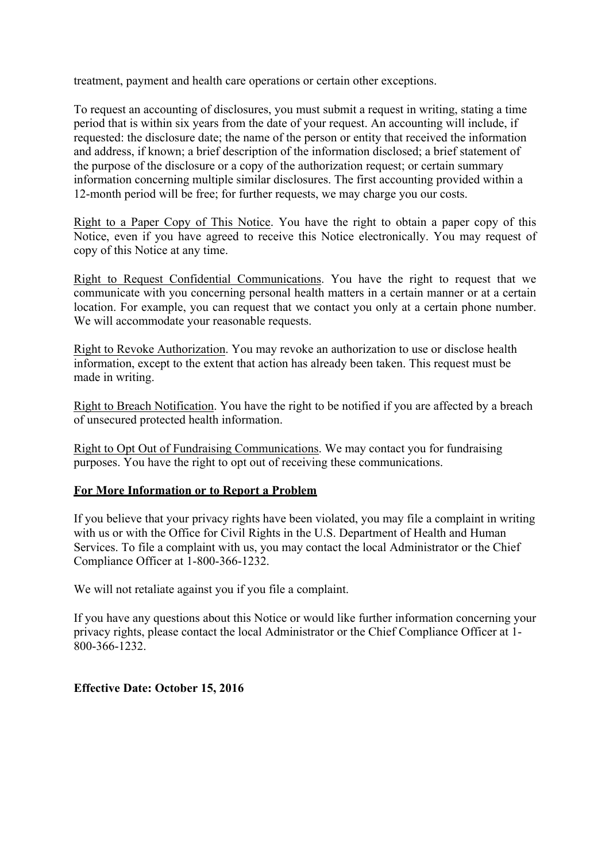treatment, payment and health care operations or certain other exceptions.

To request an accounting of disclosures, you must submit a request in writing, stating a time period that is within six years from the date of your request. An accounting will include, if requested: the disclosure date; the name of the person or entity that received the information and address, if known; a brief description of the information disclosed; a brief statement of the purpose of the disclosure or a copy of the authorization request; or certain summary information concerning multiple similar disclosures. The first accounting provided within a 12-month period will be free; for further requests, we may charge you our costs.

Right to a Paper Copy of This Notice. You have the right to obtain a paper copy of this Notice, even if you have agreed to receive this Notice electronically. You may request of copy of this Notice at any time.

Right to Request Confidential Communications. You have the right to request that we communicate with you concerning personal health matters in a certain manner or at a certain location. For example, you can request that we contact you only at a certain phone number. We will accommodate your reasonable requests.

Right to Revoke Authorization. You may revoke an authorization to use or disclose health information, except to the extent that action has already been taken. This request must be made in writing.

Right to Breach Notification. You have the right to be notified if you are affected by a breach of unsecured protected health information.

Right to Opt Out of Fundraising Communications. We may contact you for fundraising purposes. You have the right to opt out of receiving these communications.

#### **For More Information or to Report a Problem**

If you believe that your privacy rights have been violated, you may file a complaint in writing with us or with the Office for Civil Rights in the U.S. Department of Health and Human Services. To file a complaint with us, you may contact the local Administrator or the Chief Compliance Officer at 1-800-366-1232.

We will not retaliate against you if you file a complaint.

If you have any questions about this Notice or would like further information concerning your privacy rights, please contact the local Administrator or the Chief Compliance Officer at 1- 800-366-1232.

#### **Effective Date: October 15, 2016**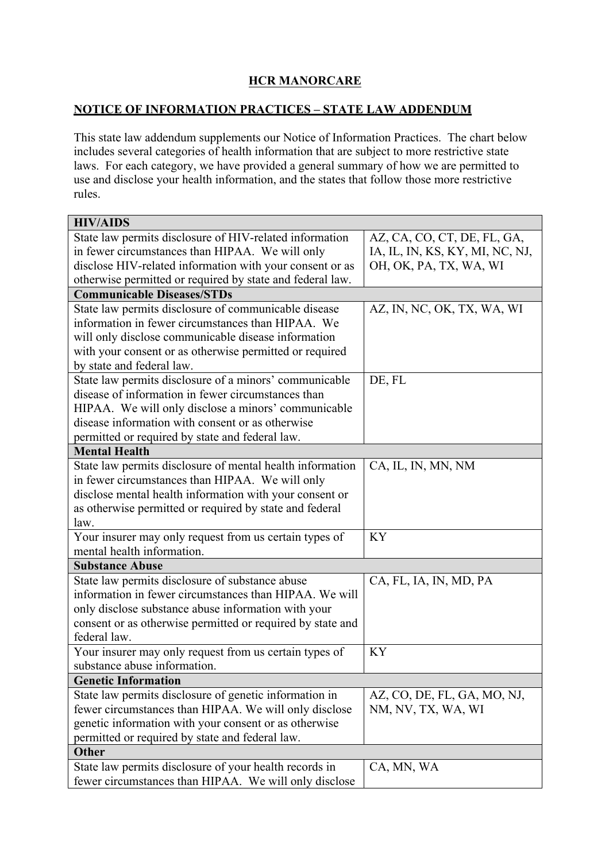# **HCR MANORCARE**

## **NOTICE OF INFORMATION PRACTICES – STATE LAW ADDENDUM**

This state law addendum supplements our Notice of Information Practices. The chart below includes several categories of health information that are subject to more restrictive state laws. For each category, we have provided a general summary of how we are permitted to use and disclose your health information, and the states that follow those more restrictive rules.

| State law permits disclosure of HIV-related information<br>AZ, CA, CO, CT, DE, FL, GA,<br>in fewer circumstances than HIPAA. We will only<br>IA, IL, IN, KS, KY, MI, NC, NJ,<br>disclose HIV-related information with your consent or as<br>OH, OK, PA, TX, WA, WI<br>otherwise permitted or required by state and federal law.<br><b>Communicable Diseases/STDs</b><br>State law permits disclosure of communicable disease<br>AZ, IN, NC, OK, TX, WA, WI<br>information in fewer circumstances than HIPAA. We<br>will only disclose communicable disease information<br>with your consent or as otherwise permitted or required<br>by state and federal law.<br>State law permits disclosure of a minors' communicable<br>DE, FL<br>disease of information in fewer circumstances than<br>HIPAA. We will only disclose a minors' communicable<br>disease information with consent or as otherwise<br>permitted or required by state and federal law.<br><b>Mental Health</b><br>State law permits disclosure of mental health information<br>CA, IL, IN, MN, NM<br>in fewer circumstances than HIPAA. We will only<br>disclose mental health information with your consent or<br>as otherwise permitted or required by state and federal<br>law.<br>Your insurer may only request from us certain types of<br><b>KY</b><br>mental health information.<br><b>Substance Abuse</b> |
|-----------------------------------------------------------------------------------------------------------------------------------------------------------------------------------------------------------------------------------------------------------------------------------------------------------------------------------------------------------------------------------------------------------------------------------------------------------------------------------------------------------------------------------------------------------------------------------------------------------------------------------------------------------------------------------------------------------------------------------------------------------------------------------------------------------------------------------------------------------------------------------------------------------------------------------------------------------------------------------------------------------------------------------------------------------------------------------------------------------------------------------------------------------------------------------------------------------------------------------------------------------------------------------------------------------------------------------------------------------------------------------|
|                                                                                                                                                                                                                                                                                                                                                                                                                                                                                                                                                                                                                                                                                                                                                                                                                                                                                                                                                                                                                                                                                                                                                                                                                                                                                                                                                                                   |
|                                                                                                                                                                                                                                                                                                                                                                                                                                                                                                                                                                                                                                                                                                                                                                                                                                                                                                                                                                                                                                                                                                                                                                                                                                                                                                                                                                                   |
|                                                                                                                                                                                                                                                                                                                                                                                                                                                                                                                                                                                                                                                                                                                                                                                                                                                                                                                                                                                                                                                                                                                                                                                                                                                                                                                                                                                   |
|                                                                                                                                                                                                                                                                                                                                                                                                                                                                                                                                                                                                                                                                                                                                                                                                                                                                                                                                                                                                                                                                                                                                                                                                                                                                                                                                                                                   |
|                                                                                                                                                                                                                                                                                                                                                                                                                                                                                                                                                                                                                                                                                                                                                                                                                                                                                                                                                                                                                                                                                                                                                                                                                                                                                                                                                                                   |
|                                                                                                                                                                                                                                                                                                                                                                                                                                                                                                                                                                                                                                                                                                                                                                                                                                                                                                                                                                                                                                                                                                                                                                                                                                                                                                                                                                                   |
|                                                                                                                                                                                                                                                                                                                                                                                                                                                                                                                                                                                                                                                                                                                                                                                                                                                                                                                                                                                                                                                                                                                                                                                                                                                                                                                                                                                   |
|                                                                                                                                                                                                                                                                                                                                                                                                                                                                                                                                                                                                                                                                                                                                                                                                                                                                                                                                                                                                                                                                                                                                                                                                                                                                                                                                                                                   |
|                                                                                                                                                                                                                                                                                                                                                                                                                                                                                                                                                                                                                                                                                                                                                                                                                                                                                                                                                                                                                                                                                                                                                                                                                                                                                                                                                                                   |
|                                                                                                                                                                                                                                                                                                                                                                                                                                                                                                                                                                                                                                                                                                                                                                                                                                                                                                                                                                                                                                                                                                                                                                                                                                                                                                                                                                                   |
|                                                                                                                                                                                                                                                                                                                                                                                                                                                                                                                                                                                                                                                                                                                                                                                                                                                                                                                                                                                                                                                                                                                                                                                                                                                                                                                                                                                   |
|                                                                                                                                                                                                                                                                                                                                                                                                                                                                                                                                                                                                                                                                                                                                                                                                                                                                                                                                                                                                                                                                                                                                                                                                                                                                                                                                                                                   |
|                                                                                                                                                                                                                                                                                                                                                                                                                                                                                                                                                                                                                                                                                                                                                                                                                                                                                                                                                                                                                                                                                                                                                                                                                                                                                                                                                                                   |
|                                                                                                                                                                                                                                                                                                                                                                                                                                                                                                                                                                                                                                                                                                                                                                                                                                                                                                                                                                                                                                                                                                                                                                                                                                                                                                                                                                                   |
|                                                                                                                                                                                                                                                                                                                                                                                                                                                                                                                                                                                                                                                                                                                                                                                                                                                                                                                                                                                                                                                                                                                                                                                                                                                                                                                                                                                   |
|                                                                                                                                                                                                                                                                                                                                                                                                                                                                                                                                                                                                                                                                                                                                                                                                                                                                                                                                                                                                                                                                                                                                                                                                                                                                                                                                                                                   |
|                                                                                                                                                                                                                                                                                                                                                                                                                                                                                                                                                                                                                                                                                                                                                                                                                                                                                                                                                                                                                                                                                                                                                                                                                                                                                                                                                                                   |
|                                                                                                                                                                                                                                                                                                                                                                                                                                                                                                                                                                                                                                                                                                                                                                                                                                                                                                                                                                                                                                                                                                                                                                                                                                                                                                                                                                                   |
|                                                                                                                                                                                                                                                                                                                                                                                                                                                                                                                                                                                                                                                                                                                                                                                                                                                                                                                                                                                                                                                                                                                                                                                                                                                                                                                                                                                   |
|                                                                                                                                                                                                                                                                                                                                                                                                                                                                                                                                                                                                                                                                                                                                                                                                                                                                                                                                                                                                                                                                                                                                                                                                                                                                                                                                                                                   |
|                                                                                                                                                                                                                                                                                                                                                                                                                                                                                                                                                                                                                                                                                                                                                                                                                                                                                                                                                                                                                                                                                                                                                                                                                                                                                                                                                                                   |
|                                                                                                                                                                                                                                                                                                                                                                                                                                                                                                                                                                                                                                                                                                                                                                                                                                                                                                                                                                                                                                                                                                                                                                                                                                                                                                                                                                                   |
|                                                                                                                                                                                                                                                                                                                                                                                                                                                                                                                                                                                                                                                                                                                                                                                                                                                                                                                                                                                                                                                                                                                                                                                                                                                                                                                                                                                   |
|                                                                                                                                                                                                                                                                                                                                                                                                                                                                                                                                                                                                                                                                                                                                                                                                                                                                                                                                                                                                                                                                                                                                                                                                                                                                                                                                                                                   |
| State law permits disclosure of substance abuse<br>CA, FL, IA, IN, MD, PA                                                                                                                                                                                                                                                                                                                                                                                                                                                                                                                                                                                                                                                                                                                                                                                                                                                                                                                                                                                                                                                                                                                                                                                                                                                                                                         |
| information in fewer circumstances than HIPAA. We will                                                                                                                                                                                                                                                                                                                                                                                                                                                                                                                                                                                                                                                                                                                                                                                                                                                                                                                                                                                                                                                                                                                                                                                                                                                                                                                            |
| only disclose substance abuse information with your                                                                                                                                                                                                                                                                                                                                                                                                                                                                                                                                                                                                                                                                                                                                                                                                                                                                                                                                                                                                                                                                                                                                                                                                                                                                                                                               |
| consent or as otherwise permitted or required by state and                                                                                                                                                                                                                                                                                                                                                                                                                                                                                                                                                                                                                                                                                                                                                                                                                                                                                                                                                                                                                                                                                                                                                                                                                                                                                                                        |
| federal law.                                                                                                                                                                                                                                                                                                                                                                                                                                                                                                                                                                                                                                                                                                                                                                                                                                                                                                                                                                                                                                                                                                                                                                                                                                                                                                                                                                      |
| Your insurer may only request from us certain types of<br><b>KY</b>                                                                                                                                                                                                                                                                                                                                                                                                                                                                                                                                                                                                                                                                                                                                                                                                                                                                                                                                                                                                                                                                                                                                                                                                                                                                                                               |
| substance abuse information.                                                                                                                                                                                                                                                                                                                                                                                                                                                                                                                                                                                                                                                                                                                                                                                                                                                                                                                                                                                                                                                                                                                                                                                                                                                                                                                                                      |
| <b>Genetic Information</b>                                                                                                                                                                                                                                                                                                                                                                                                                                                                                                                                                                                                                                                                                                                                                                                                                                                                                                                                                                                                                                                                                                                                                                                                                                                                                                                                                        |
| State law permits disclosure of genetic information in<br>AZ, CO, DE, FL, GA, MO, NJ,                                                                                                                                                                                                                                                                                                                                                                                                                                                                                                                                                                                                                                                                                                                                                                                                                                                                                                                                                                                                                                                                                                                                                                                                                                                                                             |
| fewer circumstances than HIPAA. We will only disclose<br>NM, NV, TX, WA, WI                                                                                                                                                                                                                                                                                                                                                                                                                                                                                                                                                                                                                                                                                                                                                                                                                                                                                                                                                                                                                                                                                                                                                                                                                                                                                                       |
| genetic information with your consent or as otherwise                                                                                                                                                                                                                                                                                                                                                                                                                                                                                                                                                                                                                                                                                                                                                                                                                                                                                                                                                                                                                                                                                                                                                                                                                                                                                                                             |
| permitted or required by state and federal law.                                                                                                                                                                                                                                                                                                                                                                                                                                                                                                                                                                                                                                                                                                                                                                                                                                                                                                                                                                                                                                                                                                                                                                                                                                                                                                                                   |
| <b>Other</b><br>State law permits disclosure of your health records in<br>CA, MN, WA                                                                                                                                                                                                                                                                                                                                                                                                                                                                                                                                                                                                                                                                                                                                                                                                                                                                                                                                                                                                                                                                                                                                                                                                                                                                                              |
| fewer circumstances than HIPAA. We will only disclose                                                                                                                                                                                                                                                                                                                                                                                                                                                                                                                                                                                                                                                                                                                                                                                                                                                                                                                                                                                                                                                                                                                                                                                                                                                                                                                             |